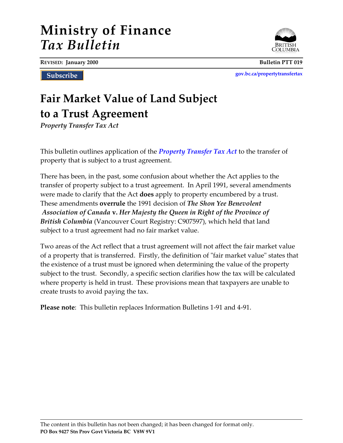# **Ministry of Finance** *Tax Bulletin*

**REVISED: January 2000 Bulletin PTT 019**

Subscribe

**[gov.bc.ca/propertytransfertax](http://www.gov.bc.ca/propertytransfertax)**

## **Fair Market Value of Land Subject to a Trust Agreement**

*Property Transfer Tax Act*

This bulletin outlines application of the *[Property Transfer Tax Act](http://www.bclaws.ca/EPLibraries/bclaws_new/document/ID/freeside/00_96378_01)* to the transfer of property that is subject to a trust agreement.

There has been, in the past, some confusion about whether the Act applies to the transfer of property subject to a trust agreement. In April 1991, several amendments were made to clarify that the Act **does** apply to property encumbered by a trust. These amendments **overrule** the 1991 decision of *The Shon Yee Benevolent Association of Canada* **v.** *Her Majesty the Queen in Right of the Province of British Columbia* (Vancouver Court Registry: C907597), which held that land subject to a trust agreement had no fair market value.

Two areas of the Act reflect that a trust agreement will not affect the fair market value of a property that is transferred. Firstly, the definition of "fair market value" states that the existence of a trust must be ignored when determining the value of the property subject to the trust. Secondly, a specific section clarifies how the tax will be calculated where property is held in trust. These provisions mean that taxpayers are unable to create trusts to avoid paying the tax.

**Please note**: This bulletin replaces Information Bulletins 1-91 and 4-91.